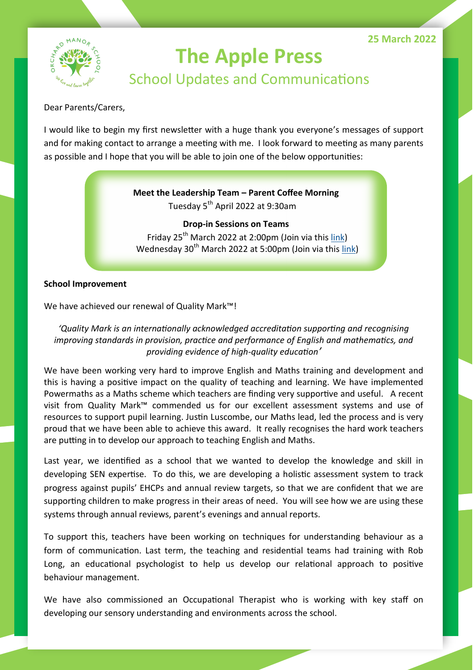

# **The Apple Press** School Updates and Communications

Dear Parents/Carers,

I would like to begin my first newsletter with a huge thank you everyone's messages of support and for making contact to arrange a meeting with me. I look forward to meeting as many parents as possible and I hope that you will be able to join one of the below opportunities:

## **Meet the Leadership Team – Parent Coffee Morning**

Tuesday 5<sup>th</sup> April 2022 at 9:30am

**Drop-in Sessions on Teams** Friday 25<sup>th</sup> March 2022 at 2:00pm (Join via this [link\)](file:///C:/Users/anorris/Downloads/o%09https:/teams.microsoft.com/l/meetup-join/19:meeting_NmM4NTllNzctYzEzMi00YjkzLWJjNjktZjMyYzBiYmUyN2Qz@thread.v2/0%3fcontext=%7b%22Tid%22:%229911a4fe-003d-44b0-b2c1-aa929b646b85%22,%22Oid%22:%22bafd52b1-dd7c-4b10-a55b-f005) Wednesday 30<sup>th</sup> March 2022 at 5:00pm (Join via this [link\)](https://teams.microsoft.com/l/meetup-join/19%3ameeting_NmM4NTllNzctYzEzMi00YjkzLWJjNjktZjMyYzBiYmUyN2Qz%40thread.v2/0?context=%7b%22Tid%22%3a%229911a4fe-003d-44b0-b2c1-aa929b646b85%22%2c%22Oid%22%3a%22bafd52b1-dd7c-4b10-a55b-f0058908b5aa%22%7d))

### **School Improvement**

We have achieved our renewal of Quality Mark™!

*'Quality Mark is an internationally acknowledged accreditation supporting and recognising improving standards in provision, practice and performance of English and mathematics, and providing evidence of high-quality education'* 

We have been working very hard to improve English and Maths training and development and this is having a positive impact on the quality of teaching and learning. We have implemented Powermaths as a Maths scheme which teachers are finding very supportive and useful. A recent visit from Quality Mark™ commended us for our excellent assessment systems and use of resources to support pupil learning. Justin Luscombe, our Maths lead, led the process and is very proud that we have been able to achieve this award. It really recognises the hard work teachers are putting in to develop our approach to teaching English and Maths.

Last year, we identified as a school that we wanted to develop the knowledge and skill in developing SEN expertise. To do this, we are developing a holistic assessment system to track progress against pupils' EHCPs and annual review targets, so that we are confident that we are supporting children to make progress in their areas of need. You will see how we are using these systems through annual reviews, parent's evenings and annual reports.

To support this, teachers have been working on techniques for understanding behaviour as a form of communication. Last term, the teaching and residential teams had training with Rob Long, an educational psychologist to help us develop our relational approach to positive behaviour management.

We have also commissioned an Occupational Therapist who is working with key staff on developing our sensory understanding and environments across the school.